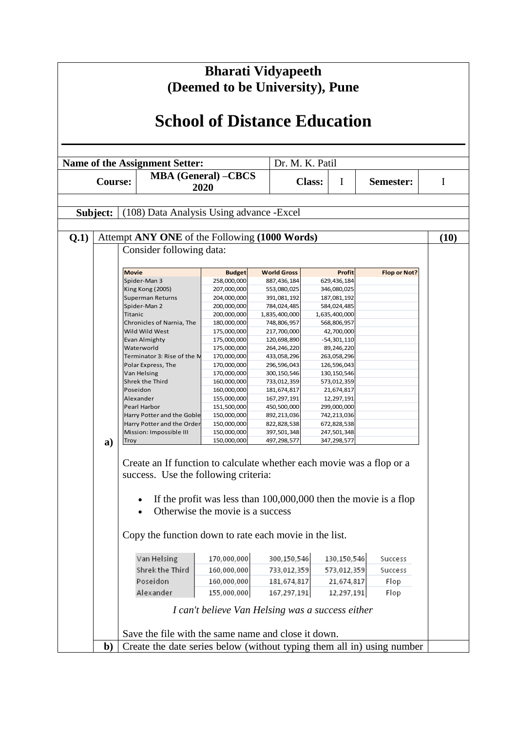| <b>School of Distance Education</b><br>Dr. M. K. Patil<br><b>Name of the Assignment Setter:</b><br><b>MBA</b> (General) -CBCS<br><b>Class:</b><br><b>Course:</b><br>I<br>Semester:<br>2020<br>Subject:<br>(108) Data Analysis Using advance - Excel<br>Attempt ANY ONE of the Following (1000 Words)<br>Q.1)<br>Consider following data:<br><b>Movie</b><br><b>Budget</b><br><b>World Gross</b><br><b>Profit</b><br>Flop or Not?<br>Spider-Man 3<br>258,000,000<br>629,436,184<br>887,436,184<br>207,000,000<br>346,080,025<br>King Kong (2005)<br>553,080,025<br><b>Superman Returns</b><br>204,000,000<br>391,081,192<br>187,081,192<br>Spider-Man 2<br>200,000,000<br>784,024,485<br>584,024,485<br>200,000,000<br>1,835,400,000<br>Titanic<br>1,635,400,000<br>Chronicles of Narnia, The<br>180,000,000<br>748,806,957<br>568,806,957<br>Wild Wild West<br>175,000,000<br>217,700,000<br>42,700,000<br>175,000,000<br>Evan Almighty<br>120,698,890<br>$-54,301,110$<br>Waterworld<br>175,000,000<br>264,246,220<br>89,246,220<br>170,000,000<br>Terminator 3: Rise of the M<br>433,058,296<br>263,058,296<br>170,000,000<br>Polar Express, The<br>296,596,043<br>126,596,043<br>Van Helsing<br>170,000,000<br>300, 150, 546<br>130, 150, 546<br>Shrek the Third<br>160,000,000<br>733,012,359<br>573,012,359<br>160,000,000<br>Poseidon<br>181,674,817<br>21,674,817<br>155,000,000<br>167,297,191<br>Alexander<br>12,297,191<br>151,500,000<br>450,500,000<br>299,000,000<br>Pearl Harbor<br>Harry Potter and the Goble<br>150,000,000<br>742,213,036<br>892,213,036<br>150,000,000<br>Harry Potter and the Order<br>822,828,538<br>672,828,538<br>150,000,000<br>397,501,348<br>247,501,348<br>Mission: Impossible III<br>497,298,577<br>150,000,000<br>347,298,577<br><b>Troy</b><br>a)<br>Create an If function to calculate whether each movie was a flop or a | I<br>(10) |
|-------------------------------------------------------------------------------------------------------------------------------------------------------------------------------------------------------------------------------------------------------------------------------------------------------------------------------------------------------------------------------------------------------------------------------------------------------------------------------------------------------------------------------------------------------------------------------------------------------------------------------------------------------------------------------------------------------------------------------------------------------------------------------------------------------------------------------------------------------------------------------------------------------------------------------------------------------------------------------------------------------------------------------------------------------------------------------------------------------------------------------------------------------------------------------------------------------------------------------------------------------------------------------------------------------------------------------------------------------------------------------------------------------------------------------------------------------------------------------------------------------------------------------------------------------------------------------------------------------------------------------------------------------------------------------------------------------------------------------------------------------------------------------------------------------------------------------------------------------------------------|-----------|
|                                                                                                                                                                                                                                                                                                                                                                                                                                                                                                                                                                                                                                                                                                                                                                                                                                                                                                                                                                                                                                                                                                                                                                                                                                                                                                                                                                                                                                                                                                                                                                                                                                                                                                                                                                                                                                                                         |           |
|                                                                                                                                                                                                                                                                                                                                                                                                                                                                                                                                                                                                                                                                                                                                                                                                                                                                                                                                                                                                                                                                                                                                                                                                                                                                                                                                                                                                                                                                                                                                                                                                                                                                                                                                                                                                                                                                         |           |
|                                                                                                                                                                                                                                                                                                                                                                                                                                                                                                                                                                                                                                                                                                                                                                                                                                                                                                                                                                                                                                                                                                                                                                                                                                                                                                                                                                                                                                                                                                                                                                                                                                                                                                                                                                                                                                                                         |           |
|                                                                                                                                                                                                                                                                                                                                                                                                                                                                                                                                                                                                                                                                                                                                                                                                                                                                                                                                                                                                                                                                                                                                                                                                                                                                                                                                                                                                                                                                                                                                                                                                                                                                                                                                                                                                                                                                         |           |
|                                                                                                                                                                                                                                                                                                                                                                                                                                                                                                                                                                                                                                                                                                                                                                                                                                                                                                                                                                                                                                                                                                                                                                                                                                                                                                                                                                                                                                                                                                                                                                                                                                                                                                                                                                                                                                                                         |           |
|                                                                                                                                                                                                                                                                                                                                                                                                                                                                                                                                                                                                                                                                                                                                                                                                                                                                                                                                                                                                                                                                                                                                                                                                                                                                                                                                                                                                                                                                                                                                                                                                                                                                                                                                                                                                                                                                         |           |
|                                                                                                                                                                                                                                                                                                                                                                                                                                                                                                                                                                                                                                                                                                                                                                                                                                                                                                                                                                                                                                                                                                                                                                                                                                                                                                                                                                                                                                                                                                                                                                                                                                                                                                                                                                                                                                                                         |           |
|                                                                                                                                                                                                                                                                                                                                                                                                                                                                                                                                                                                                                                                                                                                                                                                                                                                                                                                                                                                                                                                                                                                                                                                                                                                                                                                                                                                                                                                                                                                                                                                                                                                                                                                                                                                                                                                                         |           |
|                                                                                                                                                                                                                                                                                                                                                                                                                                                                                                                                                                                                                                                                                                                                                                                                                                                                                                                                                                                                                                                                                                                                                                                                                                                                                                                                                                                                                                                                                                                                                                                                                                                                                                                                                                                                                                                                         |           |
|                                                                                                                                                                                                                                                                                                                                                                                                                                                                                                                                                                                                                                                                                                                                                                                                                                                                                                                                                                                                                                                                                                                                                                                                                                                                                                                                                                                                                                                                                                                                                                                                                                                                                                                                                                                                                                                                         |           |
|                                                                                                                                                                                                                                                                                                                                                                                                                                                                                                                                                                                                                                                                                                                                                                                                                                                                                                                                                                                                                                                                                                                                                                                                                                                                                                                                                                                                                                                                                                                                                                                                                                                                                                                                                                                                                                                                         |           |
|                                                                                                                                                                                                                                                                                                                                                                                                                                                                                                                                                                                                                                                                                                                                                                                                                                                                                                                                                                                                                                                                                                                                                                                                                                                                                                                                                                                                                                                                                                                                                                                                                                                                                                                                                                                                                                                                         |           |
|                                                                                                                                                                                                                                                                                                                                                                                                                                                                                                                                                                                                                                                                                                                                                                                                                                                                                                                                                                                                                                                                                                                                                                                                                                                                                                                                                                                                                                                                                                                                                                                                                                                                                                                                                                                                                                                                         |           |
|                                                                                                                                                                                                                                                                                                                                                                                                                                                                                                                                                                                                                                                                                                                                                                                                                                                                                                                                                                                                                                                                                                                                                                                                                                                                                                                                                                                                                                                                                                                                                                                                                                                                                                                                                                                                                                                                         |           |
|                                                                                                                                                                                                                                                                                                                                                                                                                                                                                                                                                                                                                                                                                                                                                                                                                                                                                                                                                                                                                                                                                                                                                                                                                                                                                                                                                                                                                                                                                                                                                                                                                                                                                                                                                                                                                                                                         |           |
|                                                                                                                                                                                                                                                                                                                                                                                                                                                                                                                                                                                                                                                                                                                                                                                                                                                                                                                                                                                                                                                                                                                                                                                                                                                                                                                                                                                                                                                                                                                                                                                                                                                                                                                                                                                                                                                                         |           |
|                                                                                                                                                                                                                                                                                                                                                                                                                                                                                                                                                                                                                                                                                                                                                                                                                                                                                                                                                                                                                                                                                                                                                                                                                                                                                                                                                                                                                                                                                                                                                                                                                                                                                                                                                                                                                                                                         |           |
|                                                                                                                                                                                                                                                                                                                                                                                                                                                                                                                                                                                                                                                                                                                                                                                                                                                                                                                                                                                                                                                                                                                                                                                                                                                                                                                                                                                                                                                                                                                                                                                                                                                                                                                                                                                                                                                                         |           |
|                                                                                                                                                                                                                                                                                                                                                                                                                                                                                                                                                                                                                                                                                                                                                                                                                                                                                                                                                                                                                                                                                                                                                                                                                                                                                                                                                                                                                                                                                                                                                                                                                                                                                                                                                                                                                                                                         |           |
|                                                                                                                                                                                                                                                                                                                                                                                                                                                                                                                                                                                                                                                                                                                                                                                                                                                                                                                                                                                                                                                                                                                                                                                                                                                                                                                                                                                                                                                                                                                                                                                                                                                                                                                                                                                                                                                                         |           |
|                                                                                                                                                                                                                                                                                                                                                                                                                                                                                                                                                                                                                                                                                                                                                                                                                                                                                                                                                                                                                                                                                                                                                                                                                                                                                                                                                                                                                                                                                                                                                                                                                                                                                                                                                                                                                                                                         |           |
|                                                                                                                                                                                                                                                                                                                                                                                                                                                                                                                                                                                                                                                                                                                                                                                                                                                                                                                                                                                                                                                                                                                                                                                                                                                                                                                                                                                                                                                                                                                                                                                                                                                                                                                                                                                                                                                                         |           |
|                                                                                                                                                                                                                                                                                                                                                                                                                                                                                                                                                                                                                                                                                                                                                                                                                                                                                                                                                                                                                                                                                                                                                                                                                                                                                                                                                                                                                                                                                                                                                                                                                                                                                                                                                                                                                                                                         |           |
|                                                                                                                                                                                                                                                                                                                                                                                                                                                                                                                                                                                                                                                                                                                                                                                                                                                                                                                                                                                                                                                                                                                                                                                                                                                                                                                                                                                                                                                                                                                                                                                                                                                                                                                                                                                                                                                                         |           |
|                                                                                                                                                                                                                                                                                                                                                                                                                                                                                                                                                                                                                                                                                                                                                                                                                                                                                                                                                                                                                                                                                                                                                                                                                                                                                                                                                                                                                                                                                                                                                                                                                                                                                                                                                                                                                                                                         |           |
| success. Use the following criteria:                                                                                                                                                                                                                                                                                                                                                                                                                                                                                                                                                                                                                                                                                                                                                                                                                                                                                                                                                                                                                                                                                                                                                                                                                                                                                                                                                                                                                                                                                                                                                                                                                                                                                                                                                                                                                                    |           |
| If the profit was less than $100,000,000$ then the movie is a flop                                                                                                                                                                                                                                                                                                                                                                                                                                                                                                                                                                                                                                                                                                                                                                                                                                                                                                                                                                                                                                                                                                                                                                                                                                                                                                                                                                                                                                                                                                                                                                                                                                                                                                                                                                                                      |           |
| Otherwise the movie is a success                                                                                                                                                                                                                                                                                                                                                                                                                                                                                                                                                                                                                                                                                                                                                                                                                                                                                                                                                                                                                                                                                                                                                                                                                                                                                                                                                                                                                                                                                                                                                                                                                                                                                                                                                                                                                                        |           |
| Copy the function down to rate each movie in the list.                                                                                                                                                                                                                                                                                                                                                                                                                                                                                                                                                                                                                                                                                                                                                                                                                                                                                                                                                                                                                                                                                                                                                                                                                                                                                                                                                                                                                                                                                                                                                                                                                                                                                                                                                                                                                  |           |
| 170,000,000<br>300,150,546<br>130,150,546<br>Van Helsing<br>Success                                                                                                                                                                                                                                                                                                                                                                                                                                                                                                                                                                                                                                                                                                                                                                                                                                                                                                                                                                                                                                                                                                                                                                                                                                                                                                                                                                                                                                                                                                                                                                                                                                                                                                                                                                                                     |           |
| Shrek the Third<br>160,000,000<br>733,012,359<br>573,012,359<br>Success                                                                                                                                                                                                                                                                                                                                                                                                                                                                                                                                                                                                                                                                                                                                                                                                                                                                                                                                                                                                                                                                                                                                                                                                                                                                                                                                                                                                                                                                                                                                                                                                                                                                                                                                                                                                 |           |
| Poseidon<br>160,000,000<br>181,674,817<br>21,674,817<br>Flop                                                                                                                                                                                                                                                                                                                                                                                                                                                                                                                                                                                                                                                                                                                                                                                                                                                                                                                                                                                                                                                                                                                                                                                                                                                                                                                                                                                                                                                                                                                                                                                                                                                                                                                                                                                                            |           |
| Alexander<br>155,000,000<br>167,297,191<br>12,297,191<br>Flop                                                                                                                                                                                                                                                                                                                                                                                                                                                                                                                                                                                                                                                                                                                                                                                                                                                                                                                                                                                                                                                                                                                                                                                                                                                                                                                                                                                                                                                                                                                                                                                                                                                                                                                                                                                                           |           |
| I can't believe Van Helsing was a success either                                                                                                                                                                                                                                                                                                                                                                                                                                                                                                                                                                                                                                                                                                                                                                                                                                                                                                                                                                                                                                                                                                                                                                                                                                                                                                                                                                                                                                                                                                                                                                                                                                                                                                                                                                                                                        |           |
| Save the file with the same name and close it down.                                                                                                                                                                                                                                                                                                                                                                                                                                                                                                                                                                                                                                                                                                                                                                                                                                                                                                                                                                                                                                                                                                                                                                                                                                                                                                                                                                                                                                                                                                                                                                                                                                                                                                                                                                                                                     |           |
| Create the date series below (without typing them all in) using number<br>$\mathbf{b}$                                                                                                                                                                                                                                                                                                                                                                                                                                                                                                                                                                                                                                                                                                                                                                                                                                                                                                                                                                                                                                                                                                                                                                                                                                                                                                                                                                                                                                                                                                                                                                                                                                                                                                                                                                                  |           |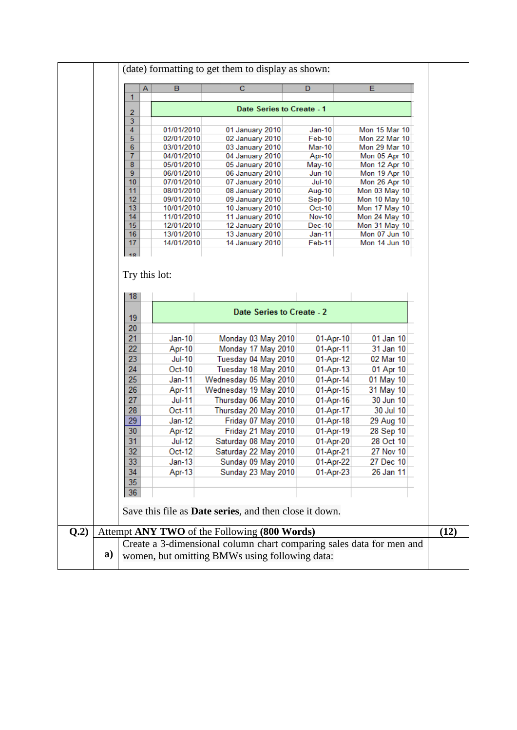|          | А | B                        | $\mathbf C$                                                    | D                       | E                              |
|----------|---|--------------------------|----------------------------------------------------------------|-------------------------|--------------------------------|
| 1        |   |                          |                                                                |                         |                                |
| 2        |   |                          | Date Series to Create - 1                                      |                         |                                |
| 3        |   |                          |                                                                |                         |                                |
| 4        |   | 01/01/2010               | 01 January 2010                                                | $Jan-10$                | Mon 15 Mar 10                  |
| 5        |   | 02/01/2010               | 02 January 2010                                                | Feb-10                  | Mon 22 Mar 10                  |
| 6        |   | 03/01/2010               | 03 January 2010                                                | Mar-10                  | Mon 29 Mar 10                  |
| 7<br>8   |   | 04/01/2010<br>05/01/2010 | 04 January 2010<br>05 January 2010                             | Apr-10                  | Mon 05 Apr 10                  |
| 9        |   | 06/01/2010               | 06 January 2010                                                | May-10<br><b>Jun-10</b> | Mon 12 Apr 10<br>Mon 19 Apr 10 |
| 10       |   | 07/01/2010               | 07 January 2010                                                | <b>Jul-10</b>           | Mon 26 Apr 10                  |
| 11       |   | 08/01/2010               | 08 January 2010                                                | Aug-10                  | Mon 03 May 10                  |
| 12       |   | 09/01/2010               | 09 January 2010                                                | Sep-10                  | Mon 10 May 10                  |
| 13       |   | 10/01/2010               | 10 January 2010                                                | Oct-10                  | Mon 17 May 10                  |
| 14       |   | 11/01/2010               | 11 January 2010                                                | <b>Nov-10</b>           | Mon 24 May 10                  |
| 15<br>16 |   | 12/01/2010               | 12 January 2010                                                | Dec-10                  | Mon 31 May 10                  |
| 17       |   | 13/01/2010<br>14/01/2010 | 13 January 2010<br>14 January 2010                             | Jan-11<br>Feb-11        | Mon 07 Jun 10<br>Mon 14 Jun 10 |
|          |   |                          |                                                                |                         |                                |
|          |   |                          |                                                                |                         |                                |
| 19       |   |                          | Date Series to Create - 2                                      |                         |                                |
| 20       |   |                          |                                                                |                         |                                |
| 21       |   | $Jan-10$                 | Monday 03 May 2010                                             | 01-Apr-10               | 01 Jan 10                      |
| 22       |   | Apr-10                   | Monday 17 May 2010                                             | 01-Apr-11               | 31 Jan 10                      |
| 23       |   | <b>Jul-10</b>            | Tuesday 04 May 2010                                            | 01-Apr-12               | 02 Mar 10                      |
| 24       |   | Oct-10                   | Tuesday 18 May 2010                                            | 01-Apr-13               | 01 Apr 10                      |
| 25       |   | Jan-11                   | Wednesday 05 May 2010                                          | 01-Apr-14               | 01 May 10                      |
| 26       |   | Apr-11                   | Wednesday 19 May 2010                                          | 01-Apr-15               | 31 May 10                      |
| 27       |   | <b>Jul-11</b>            | Thursday 06 May 2010                                           | 01-Apr-16               | 30 Jun 10                      |
| 28       |   | Oct-11                   | Thursday 20 May 2010                                           | 01-Apr-17               | 30 Jul 10                      |
| 29       |   | $Jan-12$                 | Friday 07 May 2010                                             | 01-Apr-18               | 29 Aug 10                      |
| 30       |   | Apr-12                   | Friday 21 May 2010                                             | 01-Apr-19               | 28 Sep 10                      |
| 31       |   | <b>Jul-12</b>            | Saturday 08 May 2010                                           | 01-Apr-20               | 28 Oct 10                      |
| 32       |   | Oct-12                   | Saturday 22 May 2010                                           | 01-Apr-21               | 27 Nov 10                      |
| 33       |   | $Jan-13$                 | Sunday 09 May 2010                                             | 01-Apr-22               | 27 Dec 10                      |
| 34       |   | Apr-13                   | Sunday 23 May 2010                                             | 01-Apr-23               | 26 Jan 11                      |
| 35       |   |                          |                                                                |                         |                                |
| 36       |   |                          |                                                                |                         |                                |
|          |   |                          | Save this file as <b>Date series</b> , and then close it down. |                         |                                |
|          |   |                          | Attempt ANY TWO of the Following (800 Words)                   |                         |                                |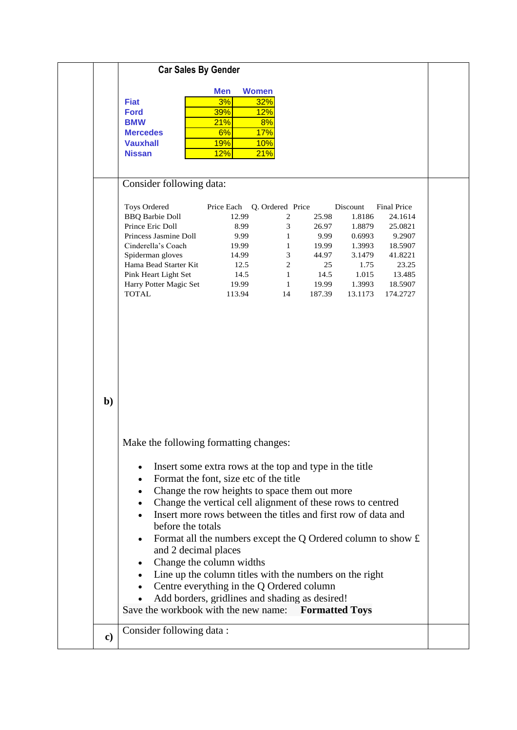|     | <b>Car Sales By Gender</b>                                                                                                                                                                                                      |                                                                                                                                                                                                                                                                                    |                                                                                                                           |                                                                           |                                                                                                  |                                                                                                             |
|-----|---------------------------------------------------------------------------------------------------------------------------------------------------------------------------------------------------------------------------------|------------------------------------------------------------------------------------------------------------------------------------------------------------------------------------------------------------------------------------------------------------------------------------|---------------------------------------------------------------------------------------------------------------------------|---------------------------------------------------------------------------|--------------------------------------------------------------------------------------------------|-------------------------------------------------------------------------------------------------------------|
|     | <b>Fiat</b><br><b>Ford</b><br><b>BMW</b><br><b>Mercedes</b><br><b>Vauxhall</b><br><b>Nissan</b>                                                                                                                                 | <b>Women</b><br><b>Men</b><br>32%<br>3%<br>12%<br>39%<br>21%<br>6%<br>17%<br><b>19%</b><br><b>10%</b><br>12%<br>21%                                                                                                                                                                | 8%                                                                                                                        |                                                                           |                                                                                                  |                                                                                                             |
|     | Consider following data:                                                                                                                                                                                                        |                                                                                                                                                                                                                                                                                    |                                                                                                                           |                                                                           |                                                                                                  |                                                                                                             |
| $b$ | <b>Toys Ordered</b><br><b>BBQ Barbie Doll</b><br>Prince Eric Doll<br>Princess Jasmine Doll<br>Cinderella's Coach<br>Spiderman gloves<br>Hama Bead Starter Kit<br>Pink Heart Light Set<br>Harry Potter Magic Set<br><b>TOTAL</b> | Price Each<br>12.99<br>8.99<br>9.99<br>19.99<br>14.99<br>12.5<br>14.5<br>19.99<br>113.94                                                                                                                                                                                           | Q. Ordered Price<br>$\boldsymbol{2}$<br>3<br>1<br>1<br>$\mathfrak{Z}$<br>$\sqrt{2}$<br>$\mathbf{1}$<br>$\mathbf{1}$<br>14 | 25.98<br>26.97<br>9.99<br>19.99<br>44.97<br>25<br>14.5<br>19.99<br>187.39 | Discount<br>1.8186<br>1.8879<br>0.6993<br>1.3993<br>3.1479<br>1.75<br>1.015<br>1.3993<br>13.1173 | Final Price<br>24.1614<br>25.0821<br>9.2907<br>18.5907<br>41.8221<br>23.25<br>13.485<br>18.5907<br>174.2727 |
|     | Make the following formatting changes:<br>٠<br>$\bullet$<br>٠                                                                                                                                                                   | Insert some extra rows at the top and type in the title<br>Format the font, size etc of the title<br>Change the row heights to space them out more<br>Change the vertical cell alignment of these rows to centred<br>Insert more rows between the titles and first row of data and |                                                                                                                           |                                                                           |                                                                                                  |                                                                                                             |
|     | before the totals<br>and 2 decimal places<br>$\bullet$<br>Save the workbook with the new name:                                                                                                                                  | Format all the numbers except the Q Ordered column to show $f$ .<br>Change the column widths<br>Line up the column titles with the numbers on the right<br>Centre everything in the Q Ordered column<br>Add borders, gridlines and shading as desired!                             |                                                                                                                           | <b>Formatted Toys</b>                                                     |                                                                                                  |                                                                                                             |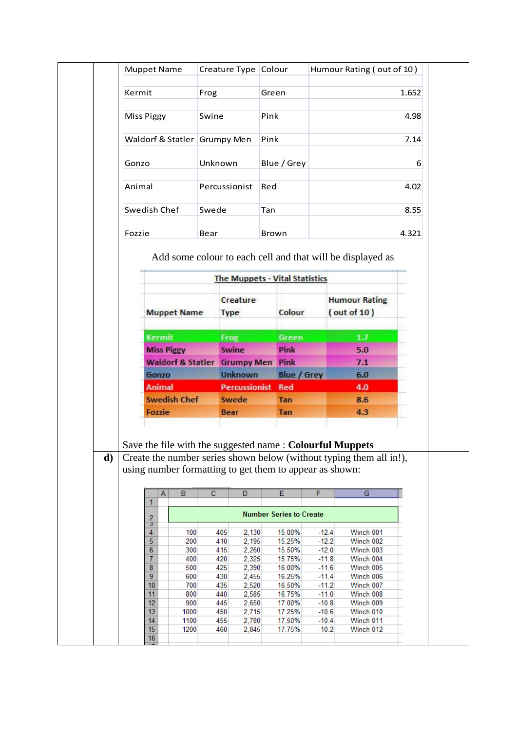|    | Kermit                       |                     | Frog                    |                                                                                                                     | Green |                                |                    |  |                                                                     | 1.652 |  |  |  |
|----|------------------------------|---------------------|-------------------------|---------------------------------------------------------------------------------------------------------------------|-------|--------------------------------|--------------------|--|---------------------------------------------------------------------|-------|--|--|--|
|    |                              |                     |                         |                                                                                                                     |       |                                |                    |  |                                                                     |       |  |  |  |
|    | <b>Miss Piggy</b>            |                     | Swine                   |                                                                                                                     | Pink  |                                |                    |  |                                                                     | 4.98  |  |  |  |
|    | Waldorf & Statler Grumpy Men |                     |                         |                                                                                                                     | Pink  |                                |                    |  | 7.14                                                                |       |  |  |  |
|    | Gonzo                        |                     | Unknown                 |                                                                                                                     |       | Blue / Grey                    |                    |  |                                                                     | 6     |  |  |  |
|    | Animal                       |                     |                         | Percussionist                                                                                                       | Red   |                                |                    |  |                                                                     | 4.02  |  |  |  |
|    |                              |                     |                         |                                                                                                                     |       |                                |                    |  |                                                                     |       |  |  |  |
|    | Swedish Chef                 |                     | Swede                   |                                                                                                                     |       | Tan                            |                    |  | 8.55                                                                |       |  |  |  |
|    | Fozzie                       |                     | Bear                    |                                                                                                                     | Brown |                                |                    |  |                                                                     | 4.321 |  |  |  |
|    |                              |                     |                         | <b>The Muppets - Vital Statistics</b><br>Creature                                                                   |       |                                |                    |  | <b>Humour Rating</b>                                                |       |  |  |  |
|    |                              | <b>Muppet Name</b>  |                         | Type                                                                                                                |       | Colour                         |                    |  | (out of 10)                                                         |       |  |  |  |
|    |                              | <b>Kermit</b>       |                         | Frog                                                                                                                |       | Green                          |                    |  | 1.7                                                                 |       |  |  |  |
|    | <b>Miss Piggy</b>            |                     |                         | Swine<br><b>Waldorf &amp; Statler Grumpy Men Pink</b>                                                               |       | Pink                           |                    |  | 5.0<br>7.1                                                          |       |  |  |  |
|    |                              |                     |                         | <b>Unknown</b>                                                                                                      |       | <b>Blue / Grey</b>             |                    |  | 6.0                                                                 |       |  |  |  |
|    | Gonzo                        |                     |                         |                                                                                                                     |       |                                |                    |  |                                                                     |       |  |  |  |
|    | <b>Animal</b>                |                     |                         | <b>Percussionist</b>                                                                                                |       | <b>Red</b>                     |                    |  | 4.0                                                                 |       |  |  |  |
|    |                              | <b>Swedish Chef</b> |                         | Swede                                                                                                               |       | <b>Tan</b>                     |                    |  | 8.6                                                                 |       |  |  |  |
|    | Fozzie                       |                     |                         | <b>Bear</b>                                                                                                         |       | <b>Tan</b>                     |                    |  | 4.3                                                                 |       |  |  |  |
|    |                              |                     |                         | Save the file with the suggested name: Colourful Muppets<br>using number formatting to get them to appear as shown: |       |                                |                    |  | Create the number series shown below (without typing them all in!), |       |  |  |  |
|    | Α<br>1.                      | $\overline{B}$      | $\overline{\mathbf{c}}$ | $\overline{D}$                                                                                                      |       | $\overline{E}$                 | F                  |  | $\overline{G}$                                                      |       |  |  |  |
|    |                              |                     |                         |                                                                                                                     |       | <b>Number Series to Create</b> |                    |  |                                                                     |       |  |  |  |
|    | $\frac{2}{3}$<br>4           | 100                 | 405                     | 2,130                                                                                                               |       | 15.00%                         | $-12.4$            |  | Winch 001                                                           |       |  |  |  |
|    | 5<br>6                       | 200<br>300          | 410<br>415              | 2,195<br>2,260                                                                                                      |       | 15.25%<br>15.50%               | $-12.2$<br>$-12.0$ |  | Winch 002<br>Winch 003                                              |       |  |  |  |
|    | 7                            | 400                 | 420                     | 2,325                                                                                                               |       | 15.75%                         | $-11.8$            |  | Winch 004                                                           |       |  |  |  |
|    | 8                            | 500                 | 425                     | 2,390                                                                                                               |       | 16.00%                         | $-11.6$            |  | Winch 005                                                           |       |  |  |  |
|    | 9<br>10                      | 600<br>700          | 430<br>435              | 2,455<br>2,520                                                                                                      |       | 16.25%<br>16.50%               | $-11.4$<br>$-11.2$ |  | Winch 006<br>Winch 007                                              |       |  |  |  |
| d) | 11                           | 800                 | 440                     | 2,585                                                                                                               |       | 16.75%                         | $-11.0$            |  | Winch 008                                                           |       |  |  |  |
|    | 12                           | 900                 | 445                     | 2,650                                                                                                               |       | 17.00%                         | $-10.8$            |  | Winch 009                                                           |       |  |  |  |
|    | 13                           | 1000                | 450                     | 2,715                                                                                                               |       | 17.25%                         | $-10.6$            |  | Winch 010                                                           |       |  |  |  |
|    | 14<br>15<br>16               | 1100<br>1200        | 455<br>460              | 2,780<br>2,845                                                                                                      |       | 17.50%<br>17.75%               | $-10.4$<br>$-10.2$ |  | Winch 011<br>Winch 012                                              |       |  |  |  |